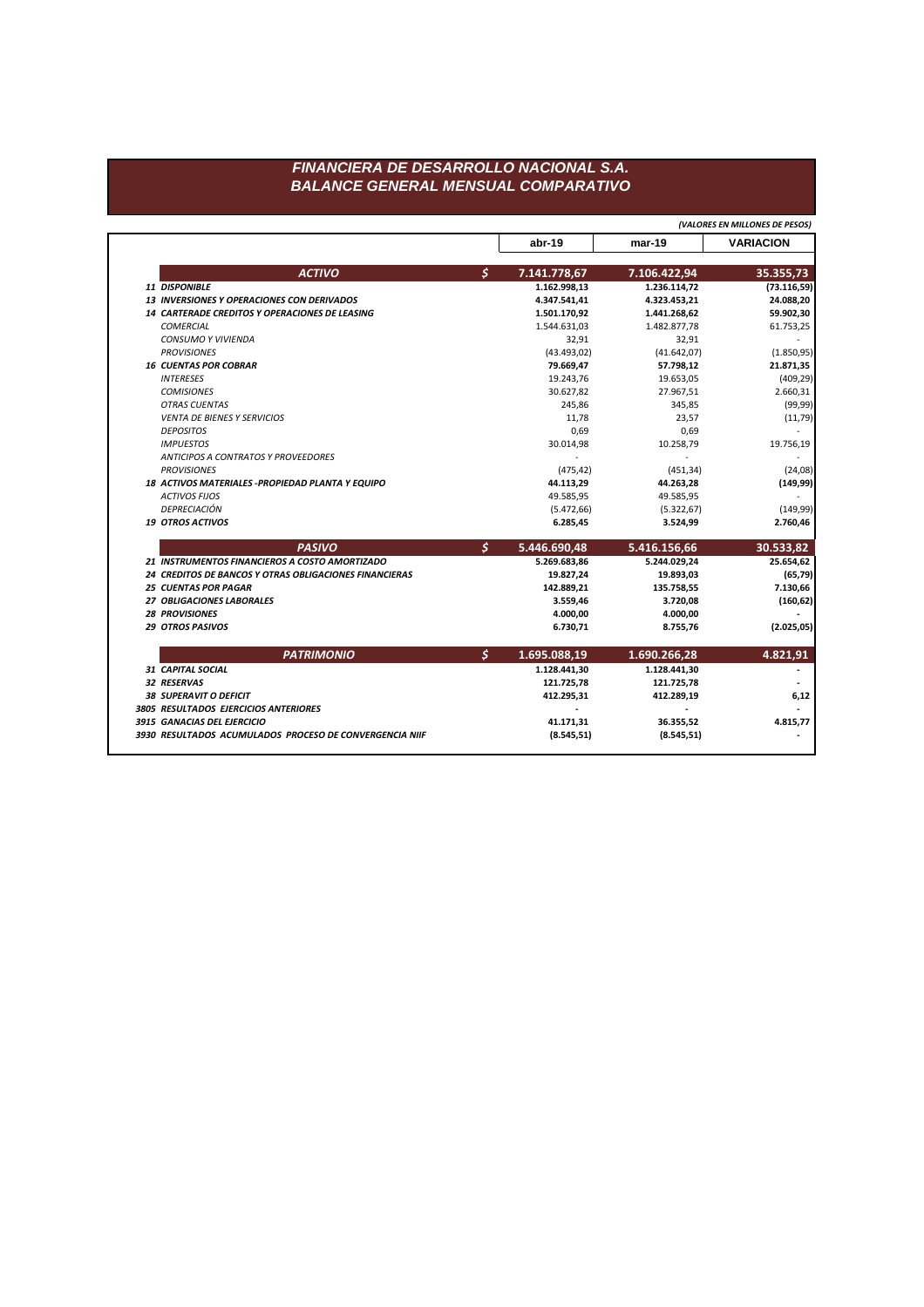## FINANCIERA DE DESARROLLO NACIONAL S.A. **BALANCE GENERAL MENSUAL COMPARATIVO**

(VALORES EN MILLONES DE PESOS)

|                                                        | abr-19                        | $mar-19$                     | <b>VARIACION</b>          |
|--------------------------------------------------------|-------------------------------|------------------------------|---------------------------|
|                                                        | $\mathcal{S}$                 |                              |                           |
| <b>ACTIVO</b><br><b>11 DISPONIBLE</b>                  | 7.141.778,67<br>1.162.998,13  | 7.106.422,94<br>1.236.114,72 | 35.355,73<br>(73.116, 59) |
| <b>13 INVERSIONES Y OPERACIONES CON DERIVADOS</b>      | 4.347.541,41                  | 4.323.453,21                 | 24.088,20                 |
| 14 CARTERADE CREDITOS Y OPERACIONES DE LEASING         | 1.501.170,92                  | 1.441.268,62                 | 59.902,30                 |
| <b>COMERCIAL</b>                                       | 1.544.631,03                  | 1.482.877,78                 | 61.753,25                 |
| <b>CONSUMO Y VIVIENDA</b>                              | 32,91                         | 32,91                        |                           |
| <b>PROVISIONES</b>                                     | (43.493, 02)                  | (41.642,07)                  | (1.850, 95)               |
| <b>16 CUENTAS POR COBRAR</b>                           | 79.669,47                     | 57.798,12                    | 21.871,35                 |
| <b>INTERESES</b>                                       | 19.243,76                     | 19.653,05                    | (409, 29)                 |
| <b>COMISIONES</b>                                      | 30.627,82                     | 27.967,51                    | 2.660,31                  |
| <b>OTRAS CUENTAS</b>                                   | 245,86                        | 345,85                       | (99, 99)                  |
| <b>VENTA DE BIENES Y SERVICIOS</b>                     | 11,78                         | 23,57                        | (11, 79)                  |
| <b>DEPOSITOS</b>                                       | 0,69                          | 0,69                         |                           |
| <b>IMPUESTOS</b>                                       | 30.014,98                     | 10.258,79                    | 19.756,19                 |
| ANTICIPOS A CONTRATOS Y PROVEEDORES                    |                               |                              |                           |
| <b>PROVISIONES</b>                                     | (475, 42)                     | (451, 34)                    | (24,08)                   |
| 18 ACTIVOS MATERIALES - PROPIEDAD PLANTA Y EQUIPO      | 44.113,29                     | 44.263,28                    | (149, 99)                 |
| <b>ACTIVOS FIJOS</b>                                   | 49.585,95                     | 49.585,95                    |                           |
| DEPRECIACIÓN                                           | (5.472, 66)                   | (5.322, 67)                  | (149,99)                  |
| <b>19 OTROS ACTIVOS</b>                                | 6.285,45                      | 3.524,99                     | 2.760,46                  |
| <b>PASIVO</b>                                          | $\mathcal{S}$<br>5.446.690,48 | 5.416.156,66                 | 30.533,82                 |
| 21 INSTRUMENTOS FINANCIEROS A COSTO AMORTIZADO         | 5.269.683,86                  | 5.244.029,24                 | 25.654,62                 |
|                                                        |                               |                              |                           |
| 24 CREDITOS DE BANCOS Y OTRAS OBLIGACIONES FINANCIERAS | 19.827,24                     | 19.893,03                    |                           |
| <b>25 CUENTAS POR PAGAR</b>                            | 142.889,21                    | 135.758,55                   | 7.130,66                  |
| 27 OBLIGACIONES LABORALES                              | 3.559,46                      | 3.720,08                     | (65, 79)<br>(160, 62)     |
| <b>28 PROVISIONES</b>                                  | 4.000,00                      | 4.000,00                     |                           |
| <b>29 OTROS PASIVOS</b>                                | 6.730,71                      | 8.755,76                     | (2.025, 05)               |
| <b>PATRIMONIO</b>                                      | S<br>1.695.088,19             | 1.690.266,28                 | 4.821,91                  |
| <b>31 CAPITAL SOCIAL</b>                               | 1.128.441,30                  | 1.128.441,30                 |                           |
| 32 RESERVAS                                            | 121.725,78                    | 121.725,78                   |                           |
| <b>38 SUPERAVIT O DEFICIT</b>                          | 412.295,31                    | 412.289,19                   | 6,12                      |
| 3805 RESULTADOS EJERCICIOS ANTERIORES                  |                               |                              |                           |
| 3915 GANACIAS DEL EJERCICIO                            | 41.171,31                     | 36.355,52                    | 4.815,77                  |